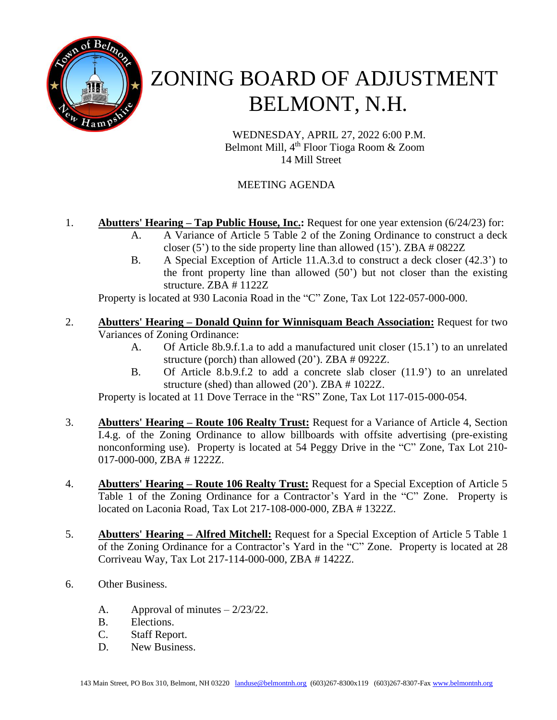

# ZONING BOARD OF ADJUSTMENT BELMONT, N.H.

WEDNESDAY, APRIL 27, 2022 6:00 P.M. Belmont Mill, 4 th Floor Tioga Room & Zoom 14 Mill Street

## MEETING AGENDA

### 1. **Abutters' Hearing – Tap Public House, Inc.:** Request for one year extension (6/24/23) for:

- A. A Variance of Article 5 Table 2 of the Zoning Ordinance to construct a deck closer  $(5')$  to the side property line than allowed  $(15')$ . ZBA  $\# 0822Z$
- B. A Special Exception of Article 11.A.3.d to construct a deck closer (42.3') to the front property line than allowed (50') but not closer than the existing structure. ZBA # 1122Z

Property is located at 930 Laconia Road in the "C" Zone, Tax Lot 122-057-000-000.

#### 2. **Abutters' Hearing – Donald Quinn for Winnisquam Beach Association:** Request for two Variances of Zoning Ordinance:

- A. Of Article 8b.9.f.1.a to add a manufactured unit closer (15.1') to an unrelated structure (porch) than allowed (20'). ZBA # 0922Z.
- B. Of Article 8.b.9.f.2 to add a concrete slab closer (11.9') to an unrelated structure (shed) than allowed (20'). ZBA # 1022Z.

Property is located at 11 Dove Terrace in the "RS" Zone, Tax Lot 117-015-000-054.

- 3. **Abutters' Hearing – Route 106 Realty Trust:** Request for a Variance of Article 4, Section I.4.g. of the Zoning Ordinance to allow billboards with offsite advertising (pre-existing nonconforming use). Property is located at 54 Peggy Drive in the "C" Zone, Tax Lot 210- 017-000-000, ZBA # 1222Z.
- 4. **Abutters' Hearing – Route 106 Realty Trust:** Request for a Special Exception of Article 5 Table 1 of the Zoning Ordinance for a Contractor's Yard in the "C" Zone. Property is located on Laconia Road, Tax Lot 217-108-000-000, ZBA # 1322Z.
- 5. **Abutters' Hearing – Alfred Mitchell:** Request for a Special Exception of Article 5 Table 1 of the Zoning Ordinance for a Contractor's Yard in the "C" Zone. Property is located at 28 Corriveau Way, Tax Lot 217-114-000-000, ZBA # 1422Z.
- 6. Other Business.
	- A. Approval of minutes  $-2/23/22$ .
	- B. Elections.
	- C. Staff Report.
	- D. New Business.